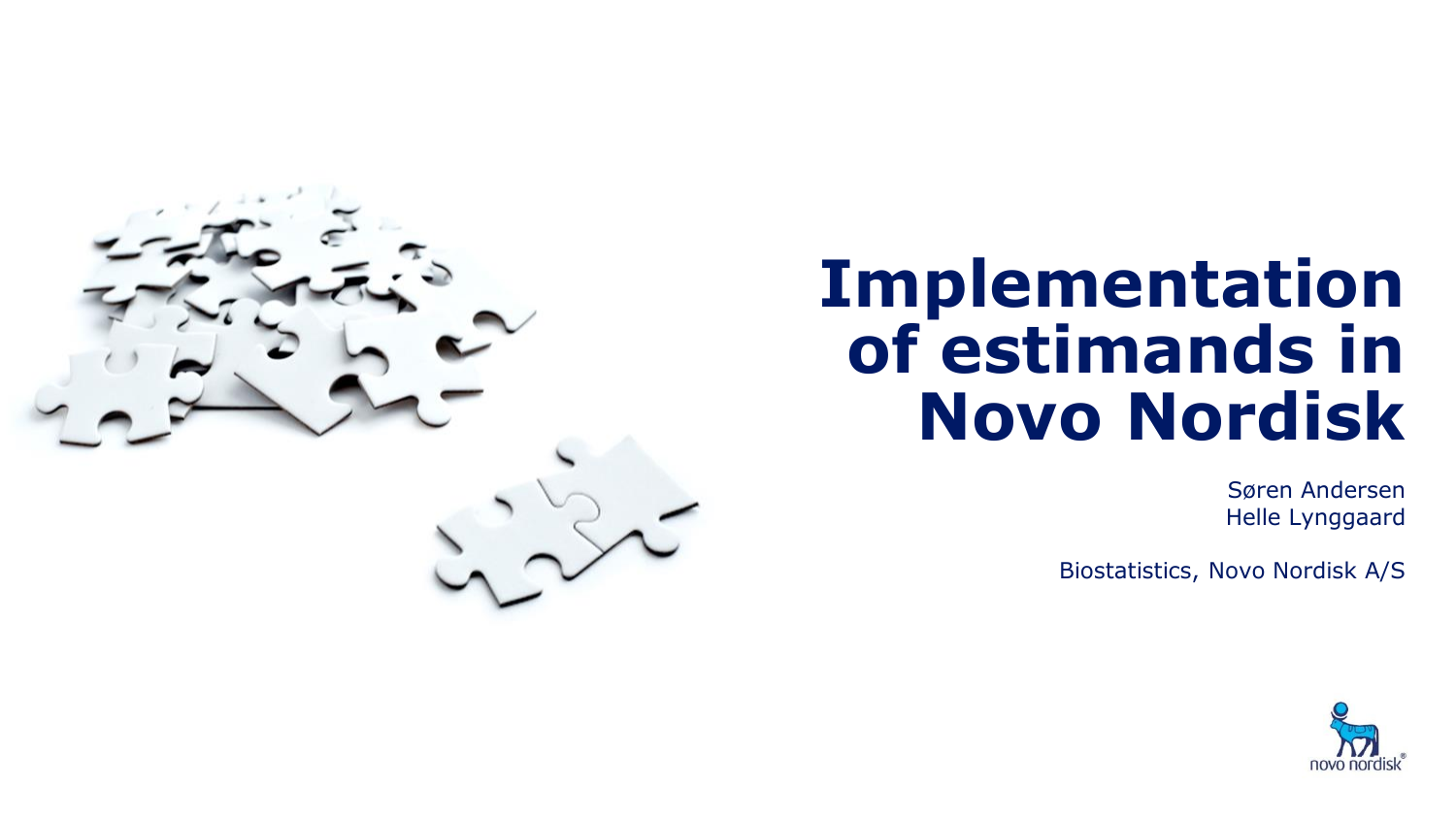

# **Implementation of estimands in Novo Nordisk**

Søren Andersen Helle Lynggaard

Biostatistics, Novo Nordisk A/S

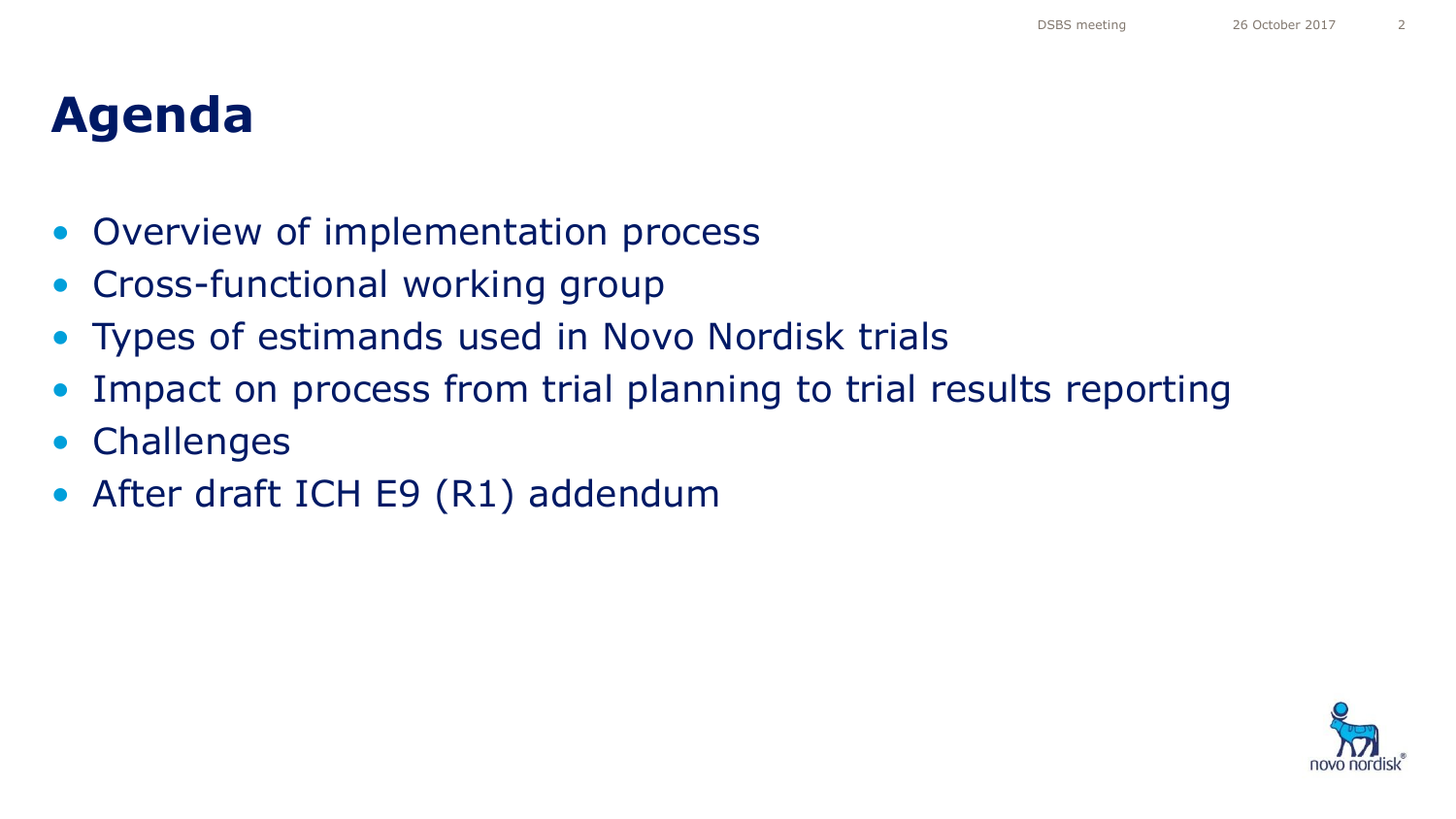### **Agenda**

- Overview of implementation process
- Cross-functional working group
- Types of estimands used in Novo Nordisk trials
- Impact on process from trial planning to trial results reporting
- **Challenges**
- After draft ICH E9 (R1) addendum

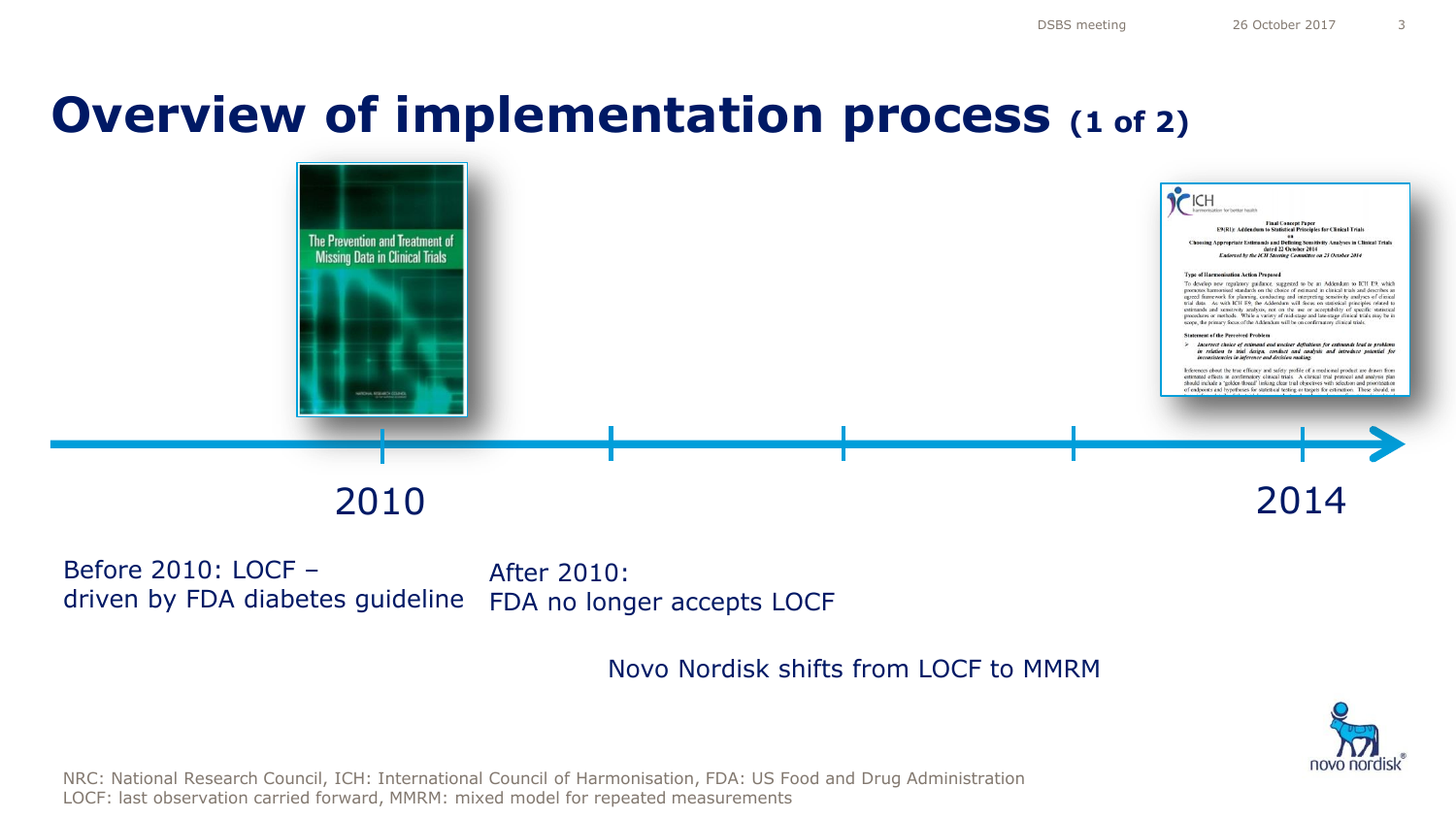### **Overview of implementation process (1 of 2)**



Before 2010: LOCF – driven by FDA diabetes guideline FDA no longer accepts LOCF After 2010:

Novo Nordisk shifts from LOCF to MMRM



NRC: National Research Council, ICH: International Council of Harmonisation, FDA: US Food and Drug Administration LOCF: last observation carried forward, MMRM: mixed model for repeated measurements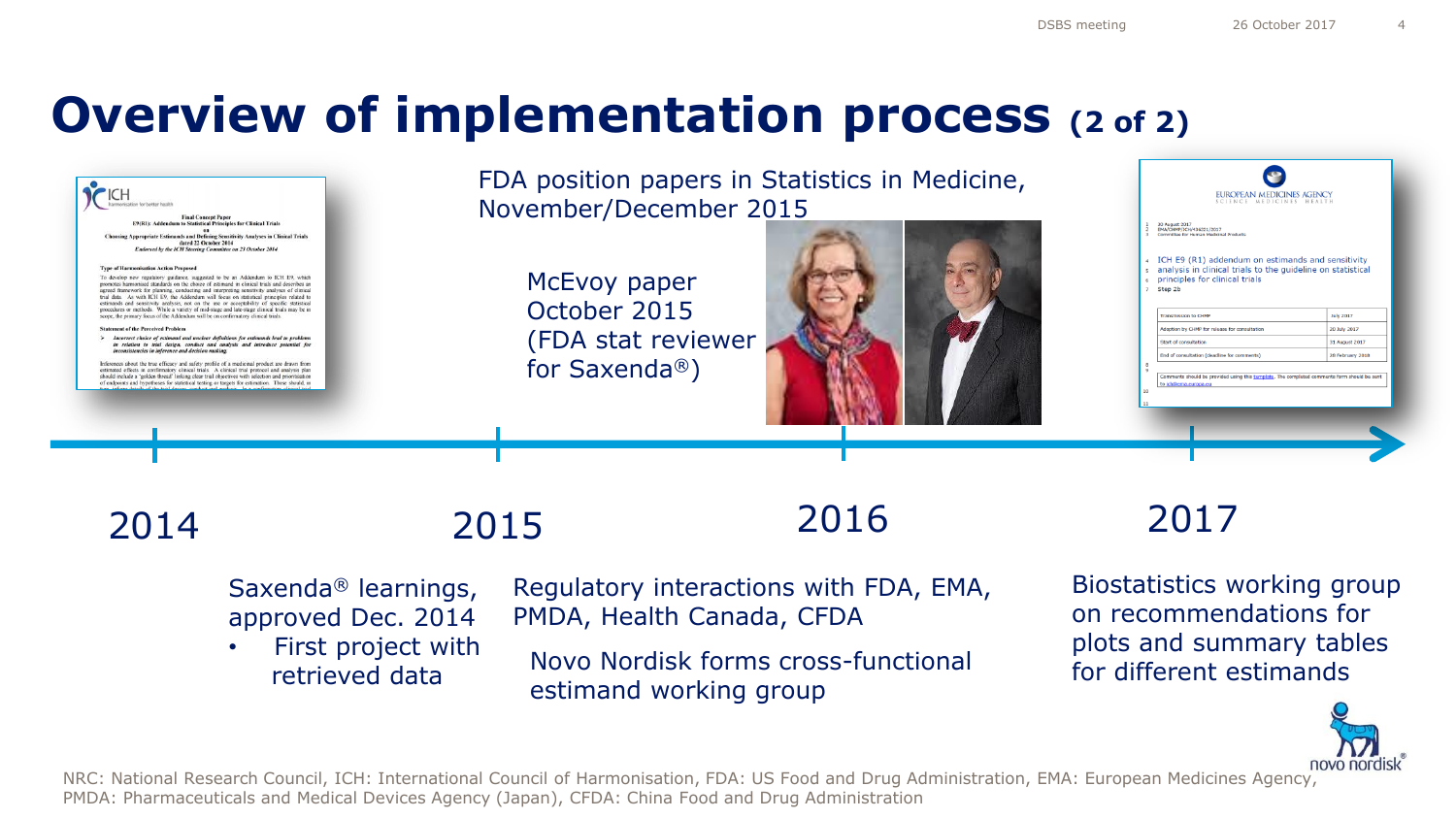### **Overview of implementation process (2 of 2)**

| <b>Final Concept Paper</b><br>E9(R1); Addendum to Statistical Principles for Clinical Trials<br>co<br>Choosing Appropriate Estimands and Defining Sensitivity Analyses in Clinical Trials<br>dated 22 October 2014<br>Endorsed by the ICH Steering Committee on 23 October 2014<br><b>Type of Harmonisation Action Proposed</b><br>To develop new regulatory guidance, suggested to be an Addendum to ICH E9, which<br>promotes harmonised standards on the choice of estimand in clinical trials and describes an<br>agreed framework for planning, conducting and interpreting sensitivity analyses of clinical<br>trial data As with ICH E9, the Addendum will focus on statistical principles related to<br>estimands and sensitivity analysis, not on the use or acceptability of specific statistical<br>procedures or methods. While a variety of mid-stage and late-stage clinical trials may be in<br>scope, the primary focus of the Addendum will be on confirmatory clinical trials.<br><b>Statement of the Perceived Problem</b><br>Incorrect choice of estimand and unclear definitions for estimands lead to problems<br>inconsistencies in inference and decision making.<br>Inferences about the true efficacy and safety profile of a medicinal product are drawn from<br>estimated effects in confirmatory clinical trials. A clinical trial protocol and analysis plan<br>should include a 'golden thread' linking clear trial objectives with selection and prioritisation<br>of endpoints and hypotheses for statistical testing or targets for estimation. These should, in | in relation to trial design, conduct and analysis and introduce potential for                 | November/December 2015<br>McEvoy paper<br>October 2015<br>(FDA stat reviewer<br>for Saxenda®) | FDA position papers in Statistics in Medicine,                                | <b>EUROPEAN MEDICINES AGENCY</b><br>CIENCE MEDICINES HEALTH<br>30 August 2017<br>EMA/CHMP/ICH/436221/2017<br>Committee for Human Medicinal Products<br>4 ICH E9 (R1) addendum on estimands and sensitivity<br>s analysis in clinical trials to the guideline on statistical<br><b>E</b> principles for clinical trials<br>7 Step 2b<br>July 2017<br>Transmission to CHMI<br>Adoption by CHMP for release for consultation<br>20 July 2017<br>Start of consultation<br>31 August 2017<br>End of consultation (deadline for comments)<br>28 February 2018<br>Comments should be provided using this termiate. The completed comments form should be sent |
|----------------------------------------------------------------------------------------------------------------------------------------------------------------------------------------------------------------------------------------------------------------------------------------------------------------------------------------------------------------------------------------------------------------------------------------------------------------------------------------------------------------------------------------------------------------------------------------------------------------------------------------------------------------------------------------------------------------------------------------------------------------------------------------------------------------------------------------------------------------------------------------------------------------------------------------------------------------------------------------------------------------------------------------------------------------------------------------------------------------------------------------------------------------------------------------------------------------------------------------------------------------------------------------------------------------------------------------------------------------------------------------------------------------------------------------------------------------------------------------------------------------------------------------------------------------------------------------------------|-----------------------------------------------------------------------------------------------|-----------------------------------------------------------------------------------------------|-------------------------------------------------------------------------------|--------------------------------------------------------------------------------------------------------------------------------------------------------------------------------------------------------------------------------------------------------------------------------------------------------------------------------------------------------------------------------------------------------------------------------------------------------------------------------------------------------------------------------------------------------------------------------------------------------------------------------------------------------|
| 2014                                                                                                                                                                                                                                                                                                                                                                                                                                                                                                                                                                                                                                                                                                                                                                                                                                                                                                                                                                                                                                                                                                                                                                                                                                                                                                                                                                                                                                                                                                                                                                                               |                                                                                               | 2015                                                                                          | 2016                                                                          | 2017                                                                                                                                                                                                                                                                                                                                                                                                                                                                                                                                                                                                                                                   |
|                                                                                                                                                                                                                                                                                                                                                                                                                                                                                                                                                                                                                                                                                                                                                                                                                                                                                                                                                                                                                                                                                                                                                                                                                                                                                                                                                                                                                                                                                                                                                                                                    | Saxenda <sup>®</sup> learnings,<br>approved Dec. 2014<br>First project with<br>retrieved data | PMDA, Health Canada, CFDA<br>estimand working group                                           | Regulatory interactions with FDA, EMA,<br>Novo Nordisk forms cross-functional | Biostatistics working group<br>on recommendations for<br>plots and summary tables<br>for different estimands                                                                                                                                                                                                                                                                                                                                                                                                                                                                                                                                           |



NRC: National Research Council, ICH: International Council of Harmonisation, FDA: US Food and Drug Administration, EMA: European Medicines Agency, PMDA: Pharmaceuticals and Medical Devices Agency (Japan), CFDA: China Food and Drug Administration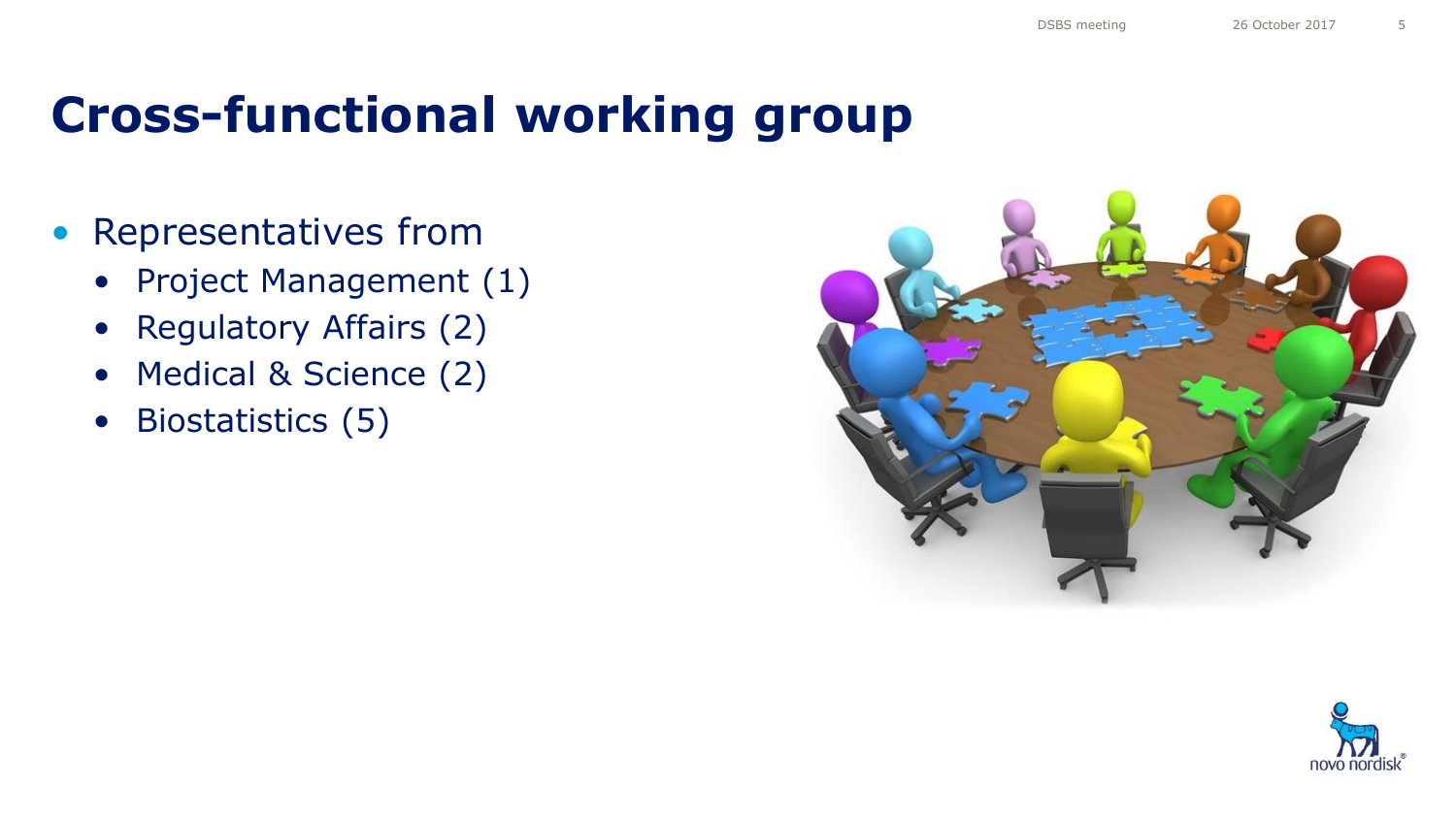### **Cross-functional working group**

- Representatives from
	- Project Management (1)
	- Regulatory Affairs (2)
	- Medical & Science (2)
	- Biostatistics (5)



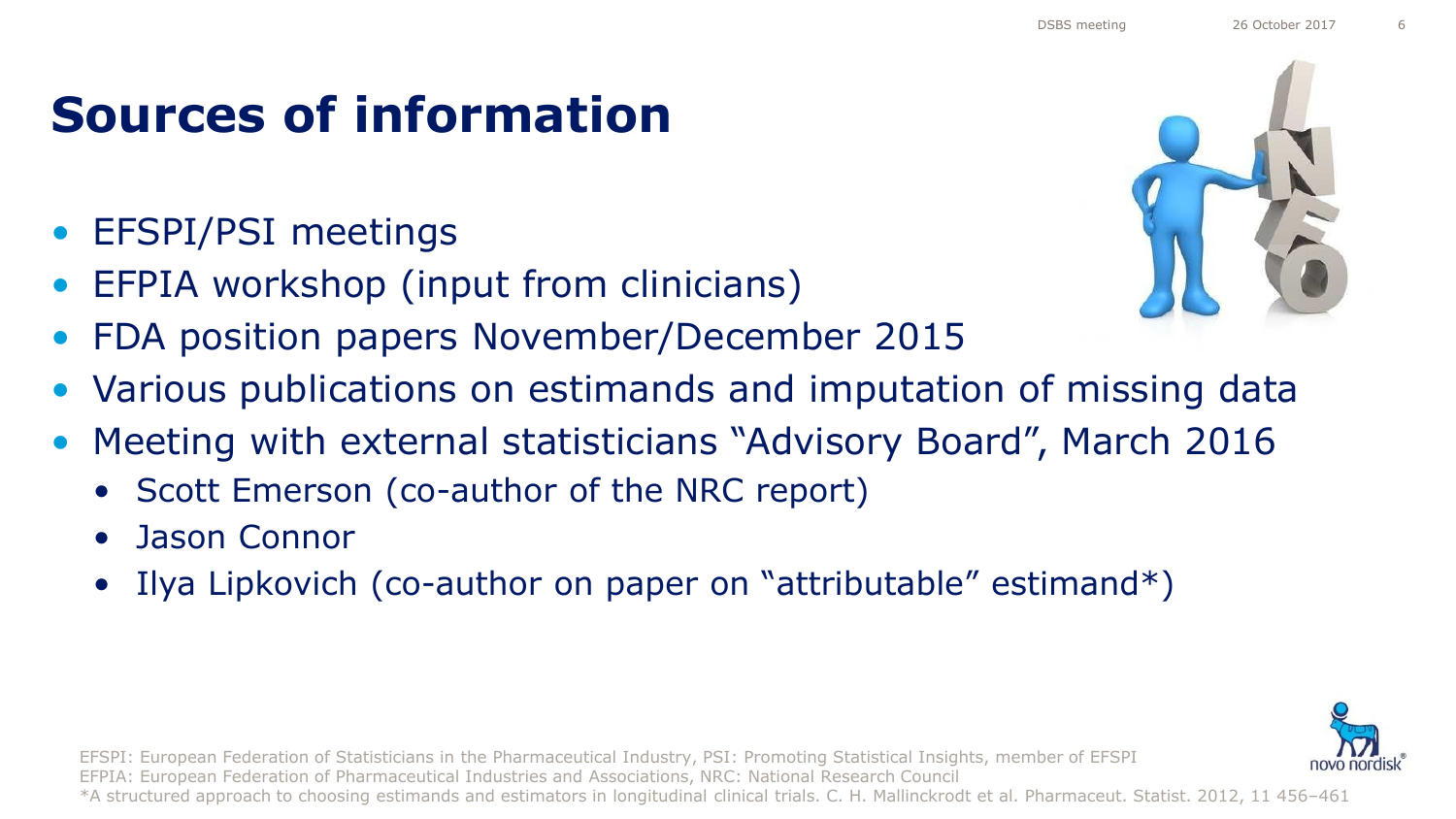### DSBS meeting 26 October 2017

### **Sources of information**

- EFSPI/PSI meetings
- EFPIA workshop (input from clinicians)
- FDA position papers November/December 2015
- Various publications on estimands and imputation of missing data
- Meeting with external statisticians "Advisory Board", March 2016
	- Scott Emerson (co-author of the NRC report)
	- Jason Connor
	- Ilya Lipkovich (co-author on paper on "attributable" estimand\*)



EFSPI: European Federation of Statisticians in the Pharmaceutical Industry, PSI: Promoting Statistical Insights, member of EFSPI EFPIA: European Federation of Pharmaceutical Industries and Associations, NRC: National Research Council \*A structured approach to choosing estimands and estimators in longitudinal clinical trials. C. H. Mallinckrodt et al. Pharmaceut. Statist. 2012, 11 456–461

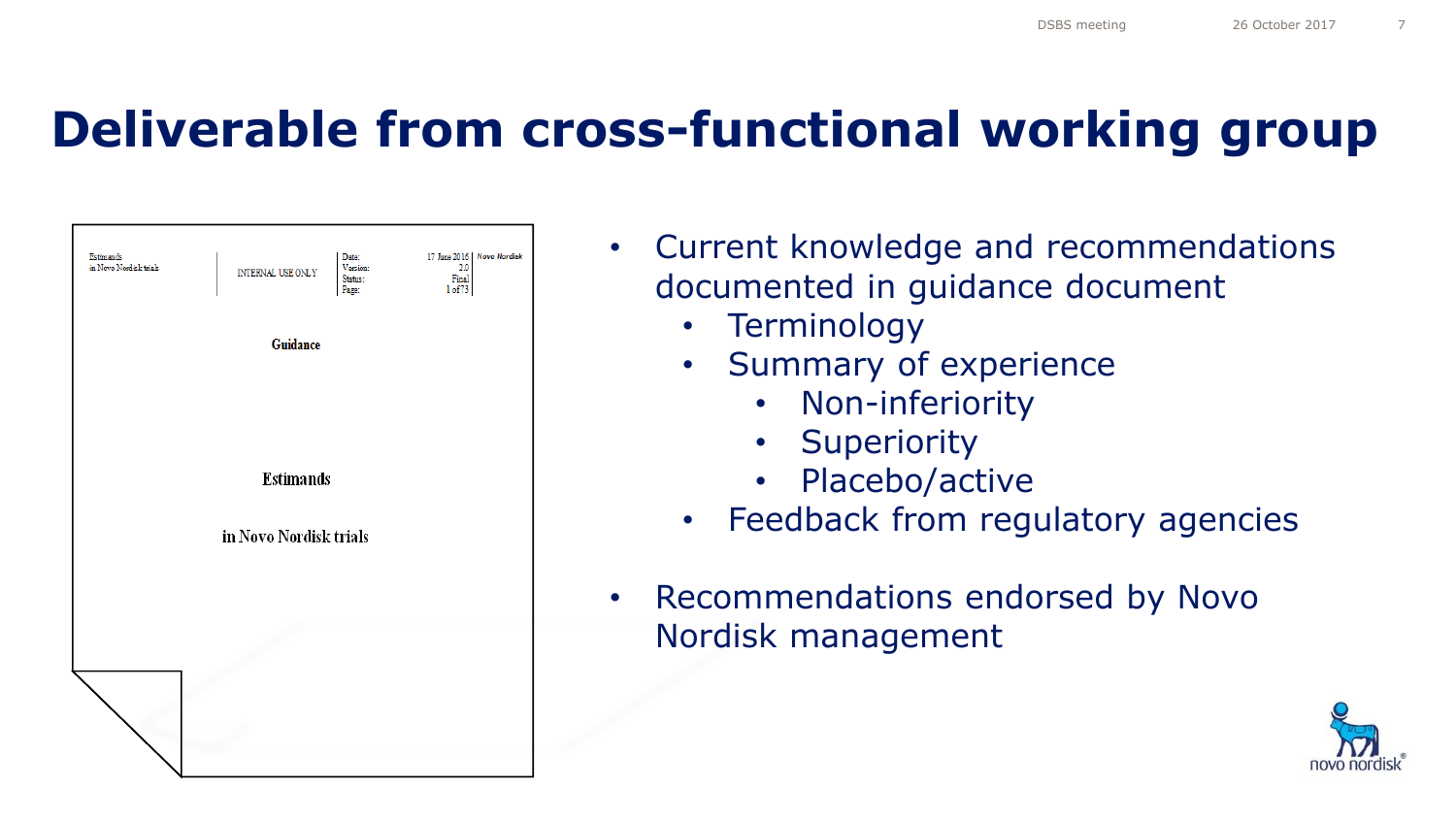### **Deliverable from cross-functional working group**

| Estimands<br>in Novo Nordisk trials | INTERNAL USE ONLY      | Date:<br>Version:<br>Status:<br>Page: | 17 June 2016   Novo Nordisk<br>2.0<br>Final<br>1 of 73 |
|-------------------------------------|------------------------|---------------------------------------|--------------------------------------------------------|
|                                     | Guidance               |                                       |                                                        |
|                                     |                        |                                       |                                                        |
|                                     | <b>Estimands</b>       |                                       |                                                        |
|                                     | in Novo Nordisk trials |                                       |                                                        |
|                                     |                        |                                       |                                                        |
|                                     |                        |                                       |                                                        |
|                                     |                        |                                       |                                                        |

| Current knowledge and recommendations                           |  |  |  |  |  |
|-----------------------------------------------------------------|--|--|--|--|--|
| documented in quidance document                                 |  |  |  |  |  |
| • Terminology                                                   |  |  |  |  |  |
| • Summary of experience                                         |  |  |  |  |  |
| • Non-inferiority                                               |  |  |  |  |  |
| • Superiority                                                   |  |  |  |  |  |
| · Placebo/active                                                |  |  |  |  |  |
| $\mathbf{H}$ and $\mathbf{H}$ and $\mathbf{H}$ and $\mathbf{H}$ |  |  |  |  |  |

- Feedback from regulatory agencies
- Recommendations endorsed by Novo Nordisk management

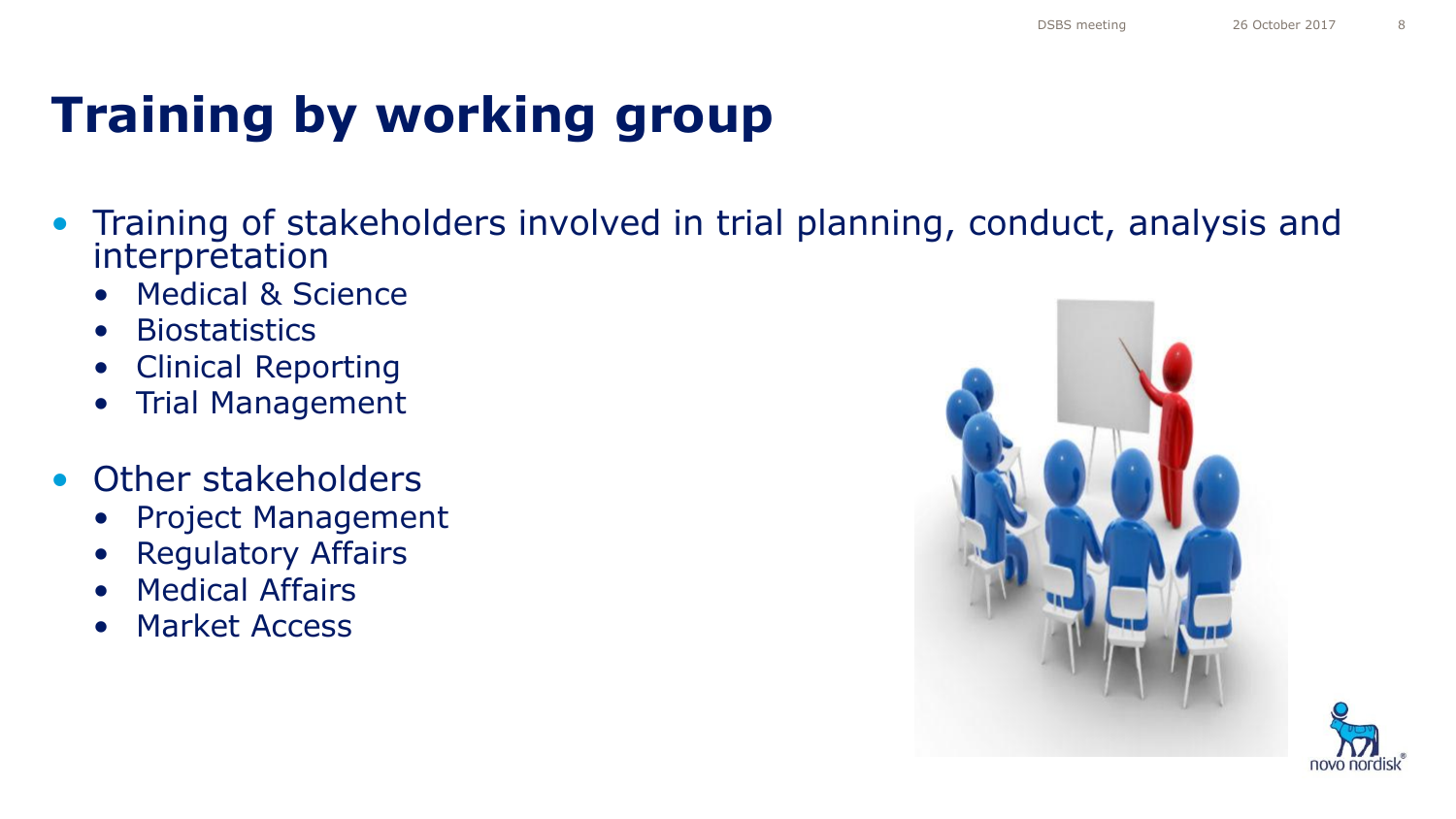## **Training by working group**

- Training of stakeholders involved in trial planning, conduct, analysis and interpretation
	- Medical & Science
	- Biostatistics
	- Clinical Reporting
	- Trial Management
- Other stakeholders
	- Project Management
	- Regulatory Affairs
	- Medical Affairs
	- Market Access



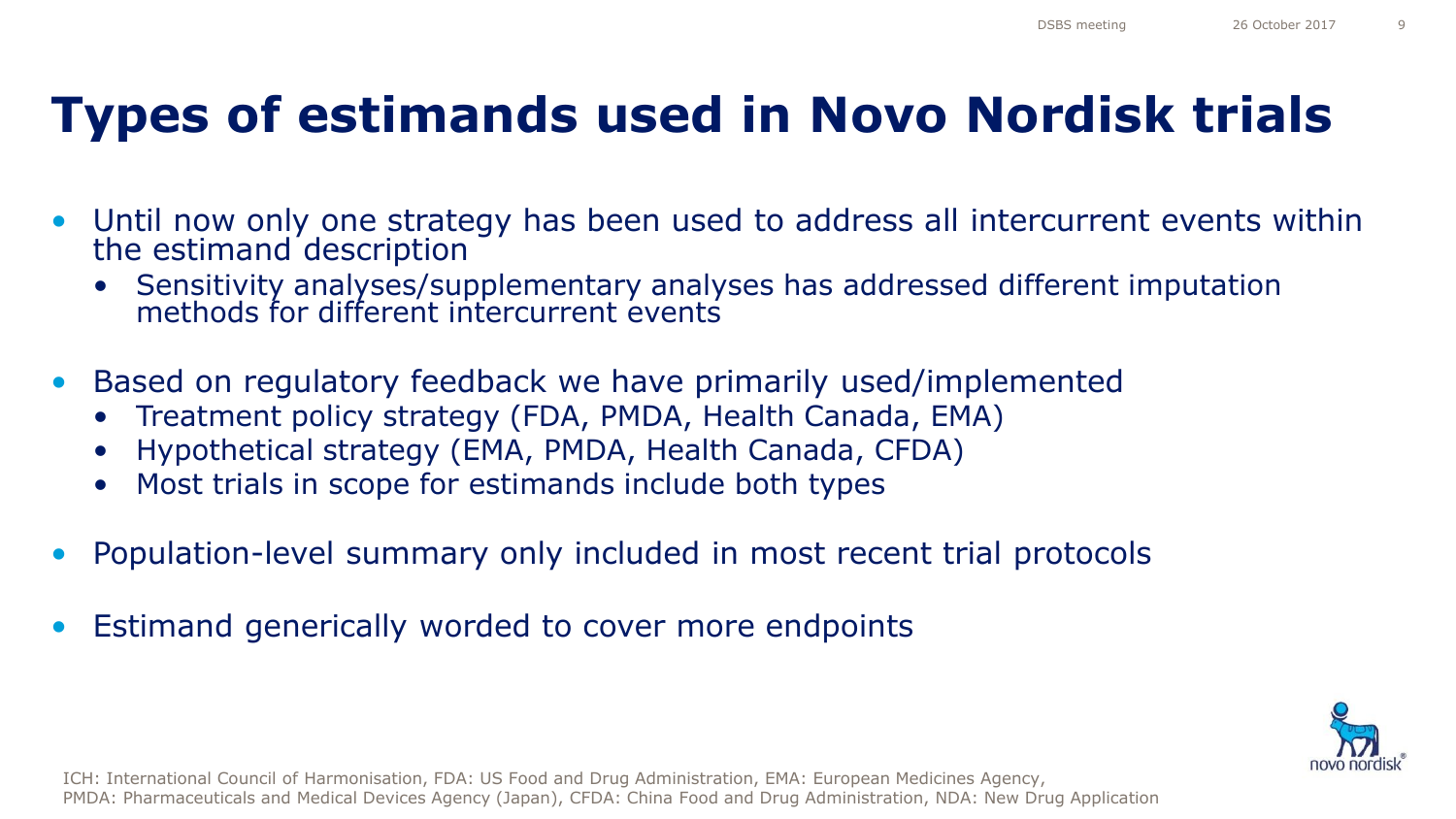## **Types of estimands used in Novo Nordisk trials**

- Until now only one strategy has been used to address all intercurrent events within the estimand description
	- Sensitivity analyses/supplementary analyses has addressed different imputation methods for different intercurrent events
- Based on regulatory feedback we have primarily used/implemented
	- Treatment policy strategy (FDA, PMDA, Health Canada, EMA)
	- Hypothetical strategy (EMA, PMDA, Health Canada, CFDA)
	- Most trials in scope for estimands include both types
- Population-level summary only included in most recent trial protocols
- Estimand generically worded to cover more endpoints



ICH: International Council of Harmonisation, FDA: US Food and Drug Administration, EMA: European Medicines Agency, PMDA: Pharmaceuticals and Medical Devices Agency (Japan), CFDA: China Food and Drug Administration, NDA: New Drug Application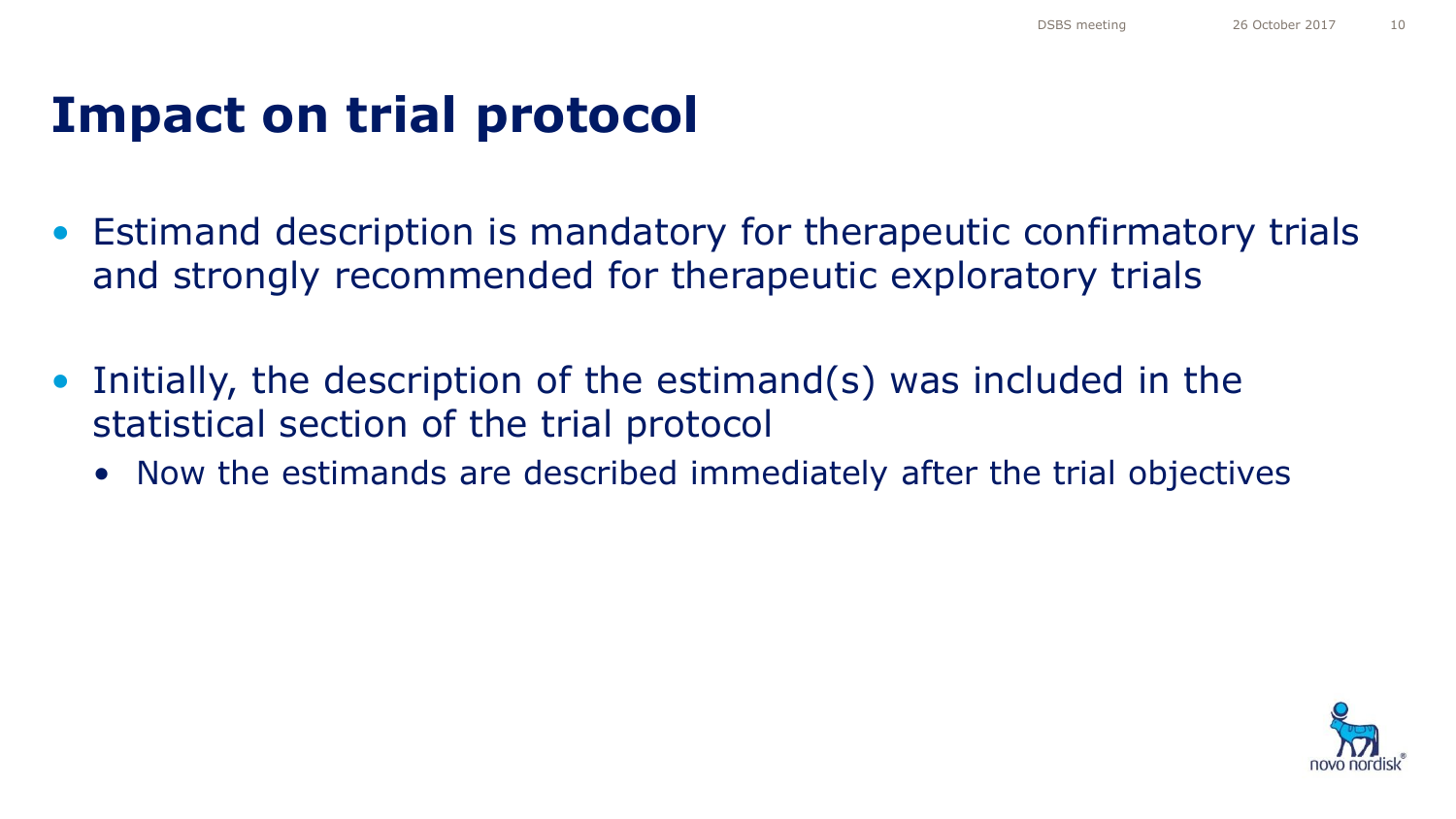### **Impact on trial protocol**

- Estimand description is mandatory for therapeutic confirmatory trials and strongly recommended for therapeutic exploratory trials
- Initially, the description of the estimand(s) was included in the statistical section of the trial protocol
	- Now the estimands are described immediately after the trial objectives

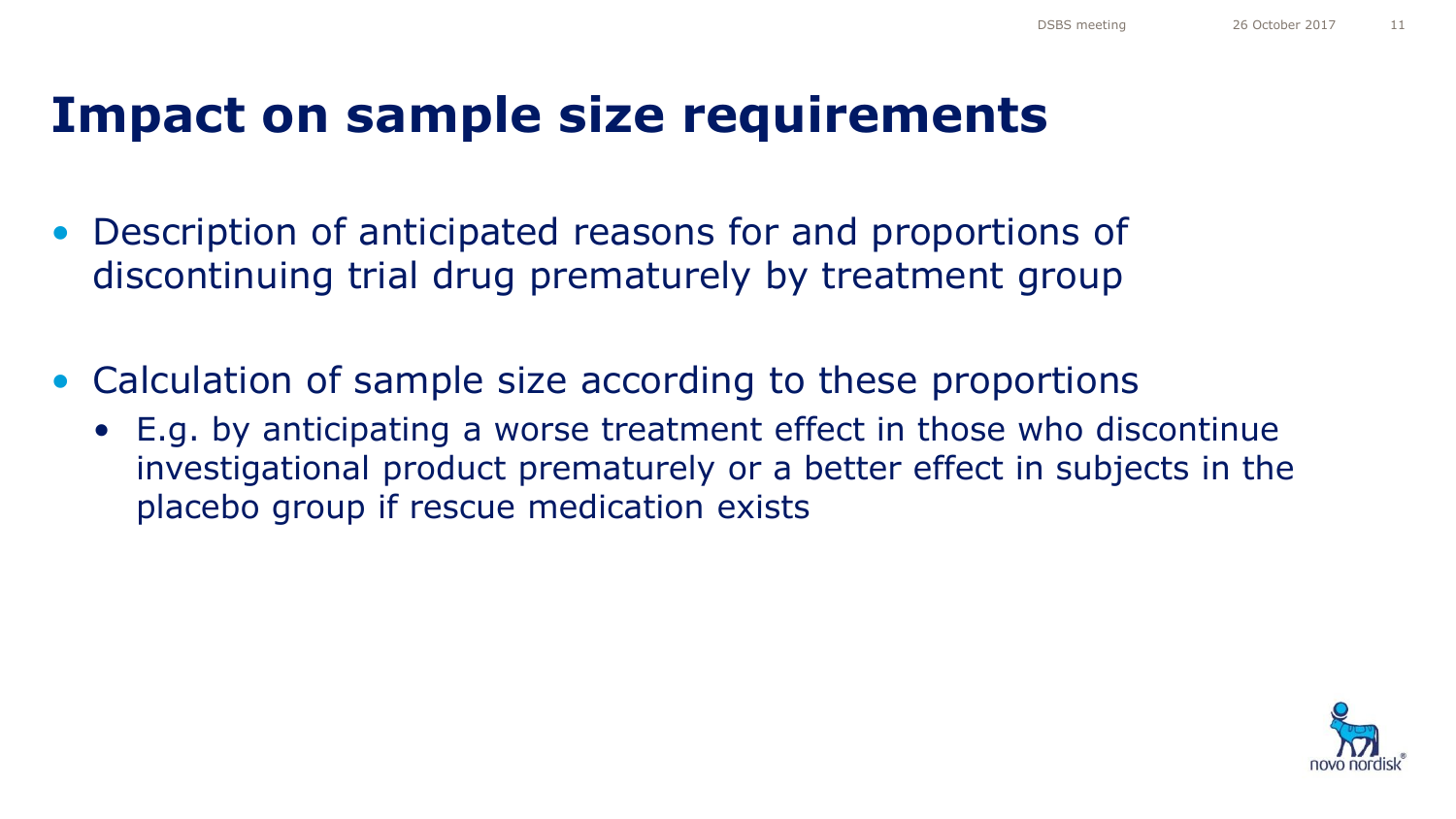### **Impact on sample size requirements**

- Description of anticipated reasons for and proportions of discontinuing trial drug prematurely by treatment group
- Calculation of sample size according to these proportions
	- E.g. by anticipating a worse treatment effect in those who discontinue investigational product prematurely or a better effect in subjects in the placebo group if rescue medication exists

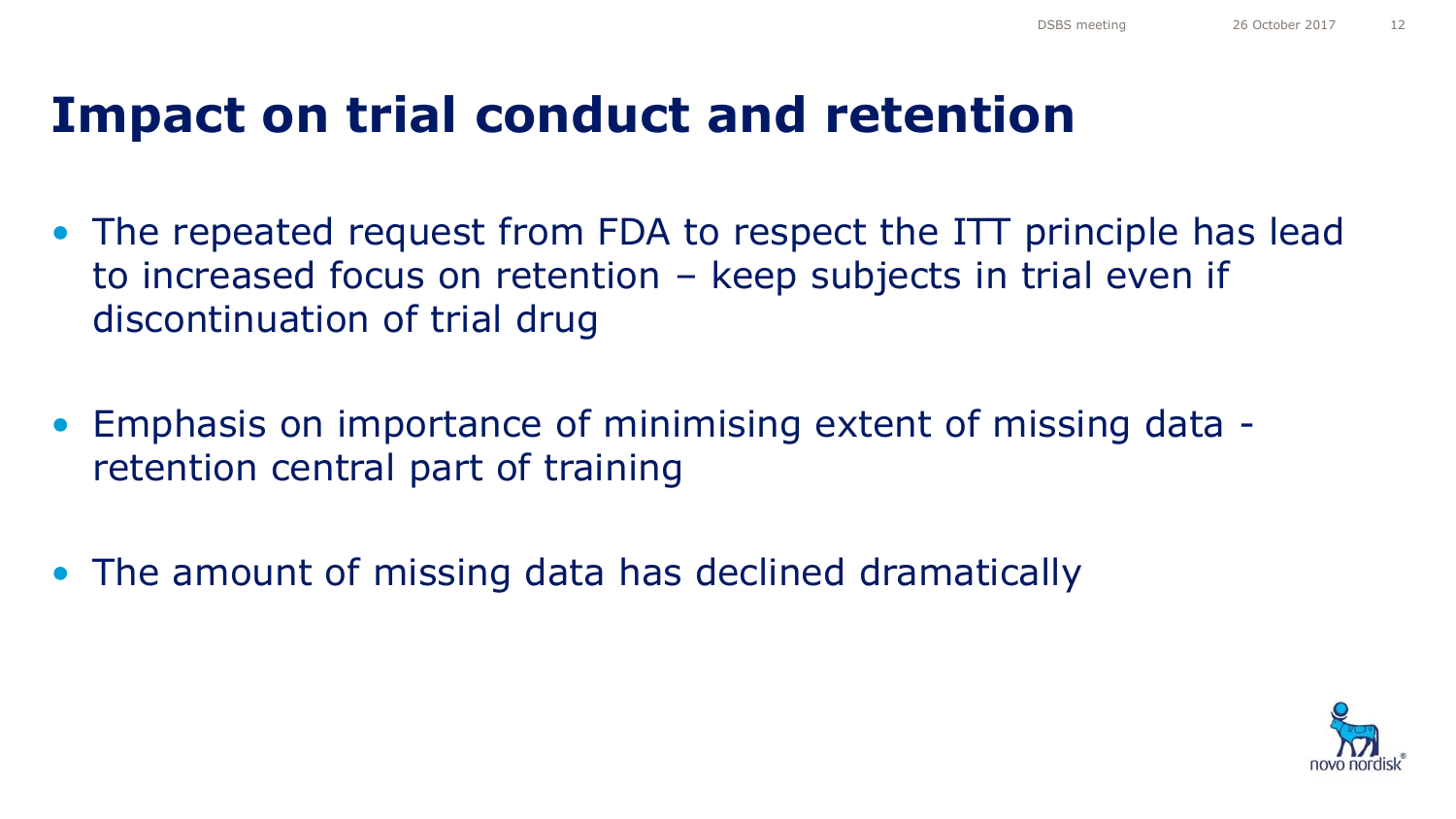### **Impact on trial conduct and retention**

- The repeated request from FDA to respect the ITT principle has lead to increased focus on retention – keep subjects in trial even if discontinuation of trial drug
- Emphasis on importance of minimising extent of missing data retention central part of training
- The amount of missing data has declined dramatically

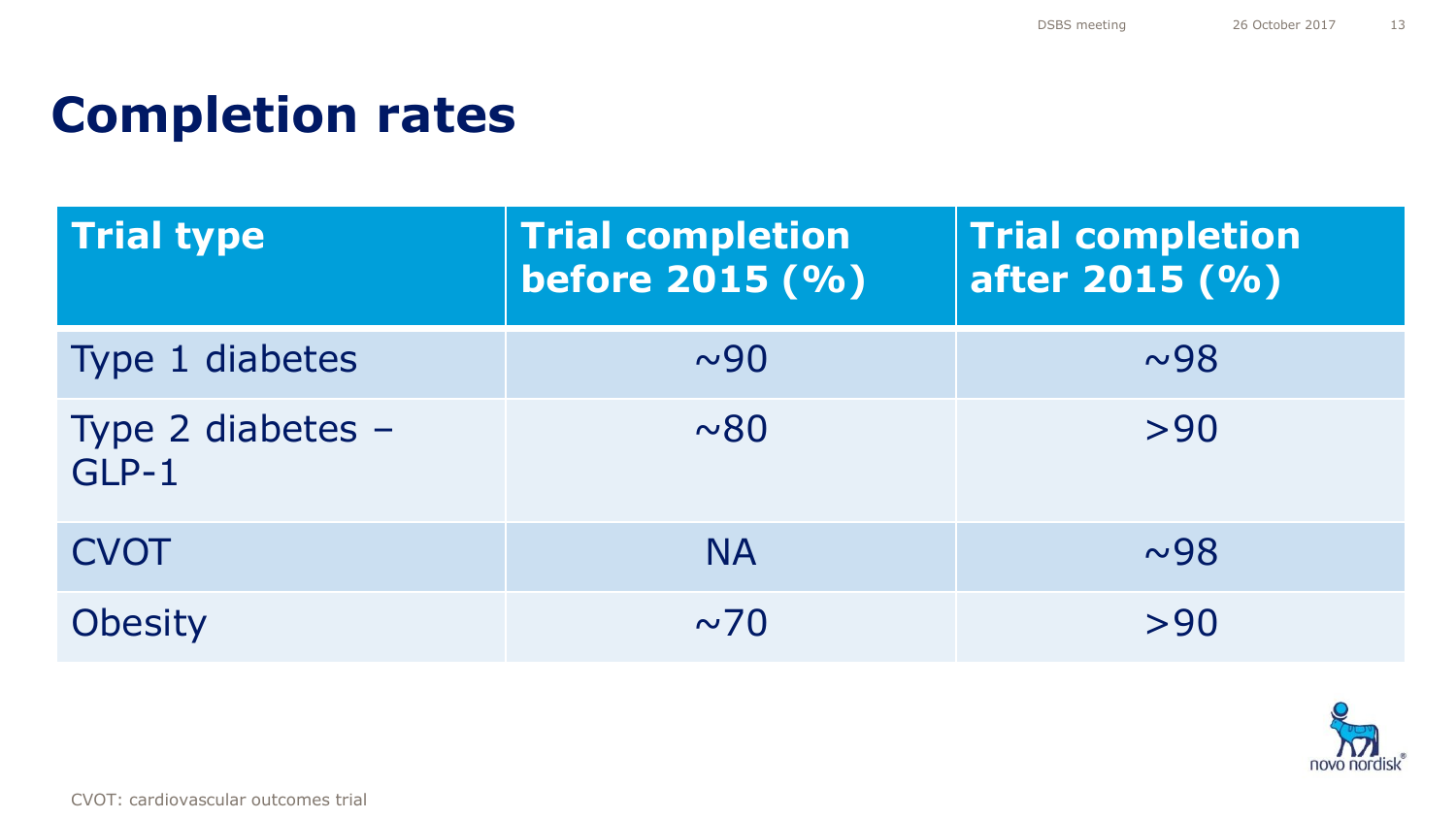### **Completion rates**

| <b>Trial type</b>          | <b>Trial completion</b><br>before 2015 (%) | <b>Trial completion</b><br>after 2015 (%) |
|----------------------------|--------------------------------------------|-------------------------------------------|
| Type 1 diabetes            | $\sim$ 90                                  | ~1sim98                                   |
| Type 2 diabetes -<br>GLP-1 | $~\sim 80$                                 | >90                                       |
| <b>CVOT</b>                | <b>NA</b>                                  | ~1sim98                                   |
| <b>Obesity</b>             | $\sim$ 70                                  | >90                                       |

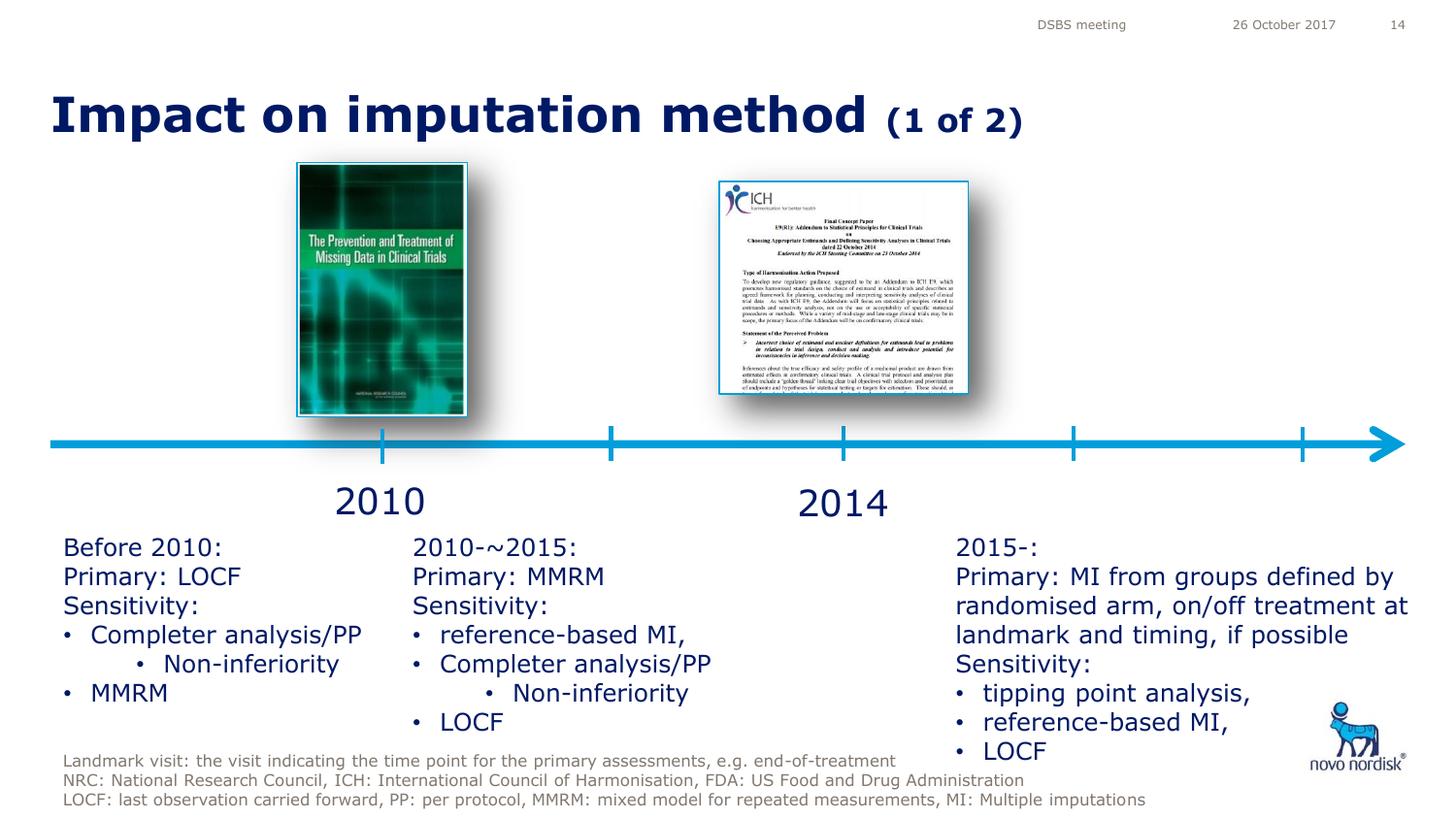### **Impact on imputation method (1 of 2)**



### Before 2010: Primary: LOCF Sensitivity:

- Completer analysis/PP
	- Non-inferiority
- MMRM

 $2010 - 2015$ : Primary: MMRM Sensitivity:

- reference-based MI,
- Completer analysis/PP
	- Non-inferiority
- LOCF

### 2010 2014

### 2015-:

Primary: MI from groups defined by randomised arm, on/off treatment at landmark and timing, if possible Sensitivity:

- tipping point analysis,
- reference-based MI,
	- LOCF

novo nordi

Landmark visit: the visit indicating the time point for the primary assessments, e.g. end-of-treatment NRC: National Research Council, ICH: International Council of Harmonisation, FDA: US Food and Drug Administration LOCF: last observation carried forward, PP: per protocol, MMRM: mixed model for repeated measurements, MI: Multiple imputations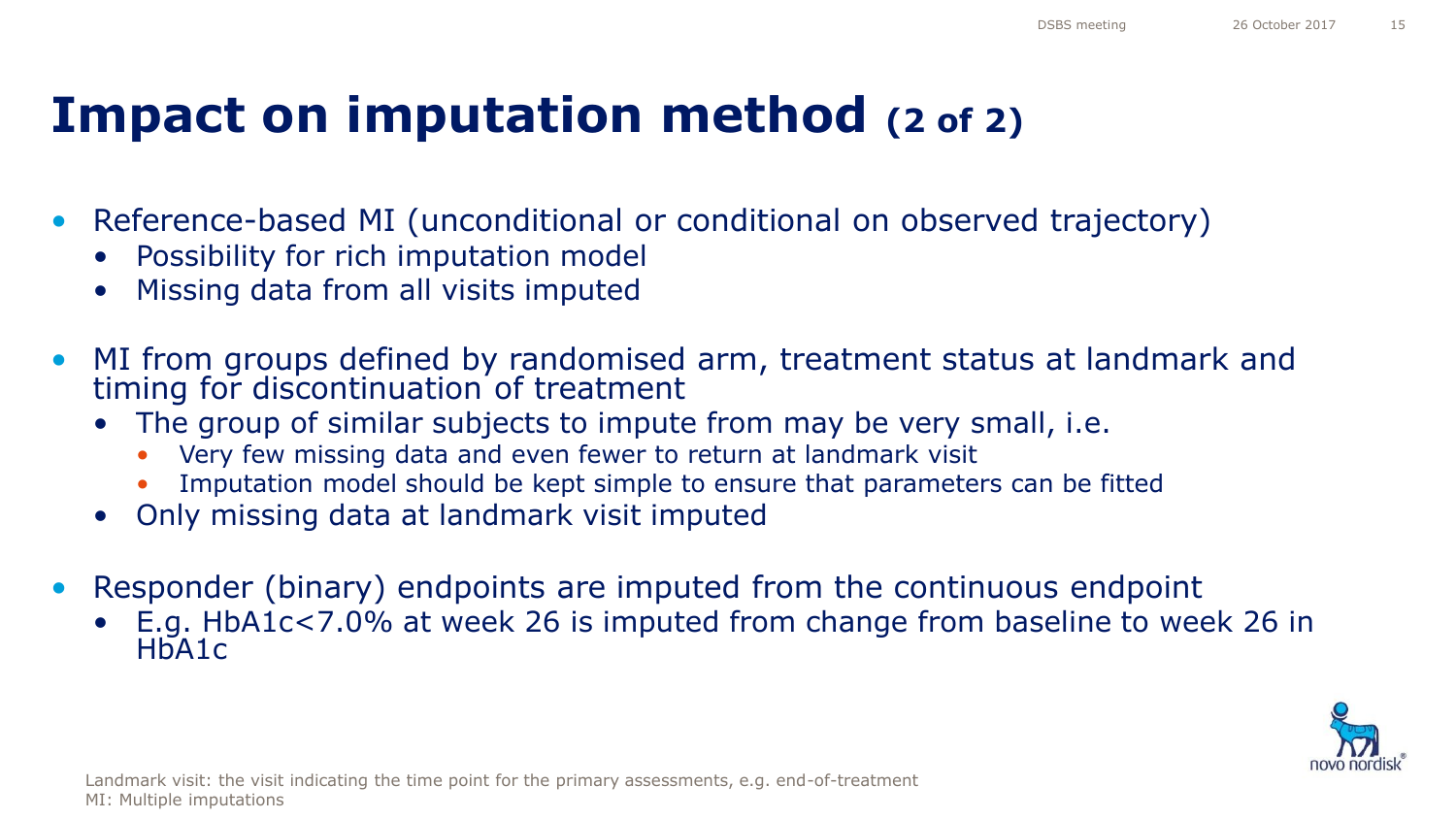### **Impact on imputation method (2 of 2)**

- Reference-based MI (unconditional or conditional on observed trajectory)
	- Possibility for rich imputation model
	- Missing data from all visits imputed
- MI from groups defined by randomised arm, treatment status at landmark and timing for discontinuation of treatment
	- The group of similar subjects to impute from may be very small, i.e.
		- Very few missing data and even fewer to return at landmark visit
		- Imputation model should be kept simple to ensure that parameters can be fitted
	- Only missing data at landmark visit imputed
- Responder (binary) endpoints are imputed from the continuous endpoint
	- E.g. HbA1c<7.0% at week 26 is imputed from change from baseline to week 26 in HbA1c

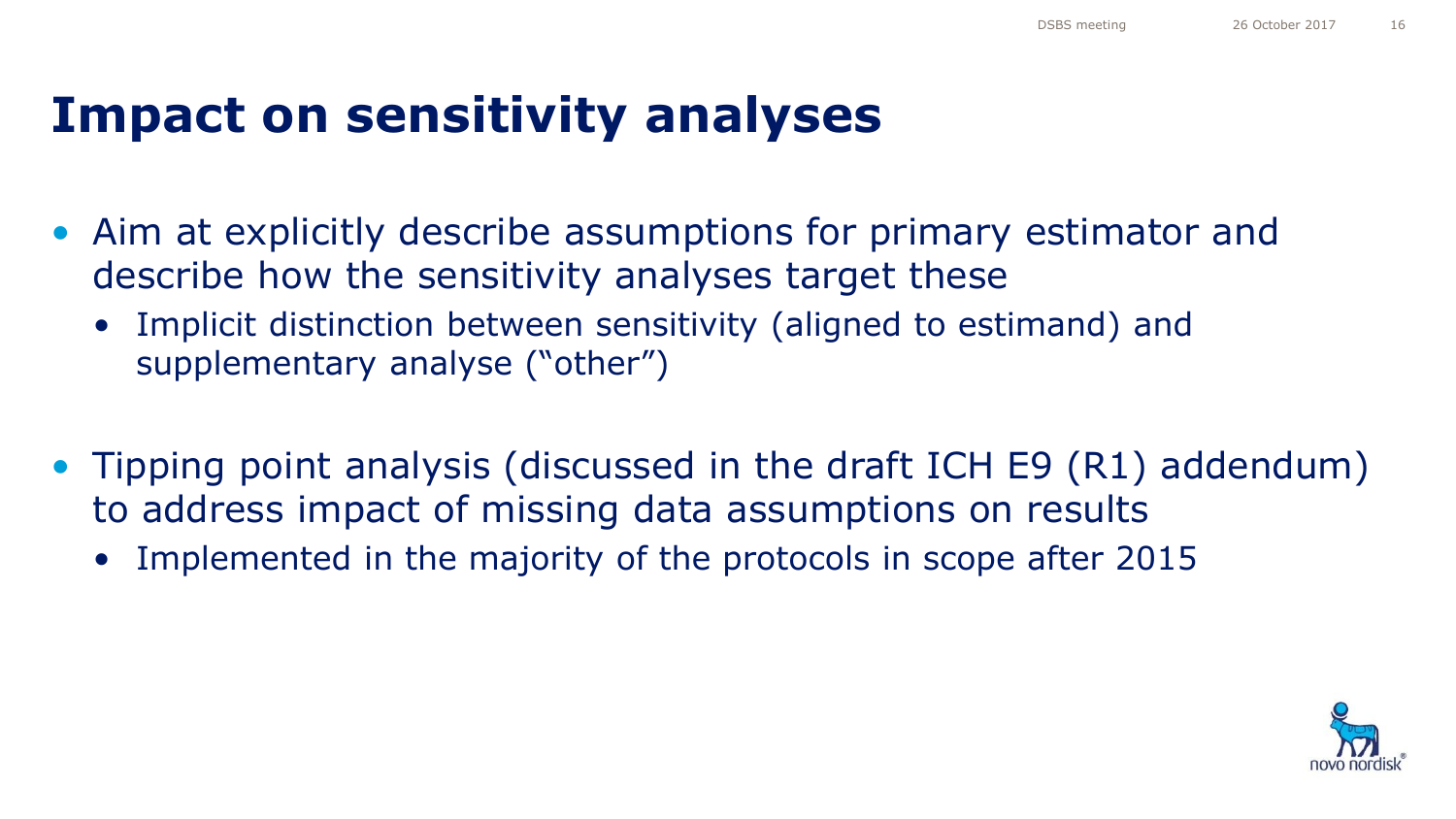### **Impact on sensitivity analyses**

- Aim at explicitly describe assumptions for primary estimator and describe how the sensitivity analyses target these
	- Implicit distinction between sensitivity (aligned to estimand) and supplementary analyse ("other")
- Tipping point analysis (discussed in the draft ICH E9 (R1) addendum) to address impact of missing data assumptions on results
	- Implemented in the majority of the protocols in scope after 2015

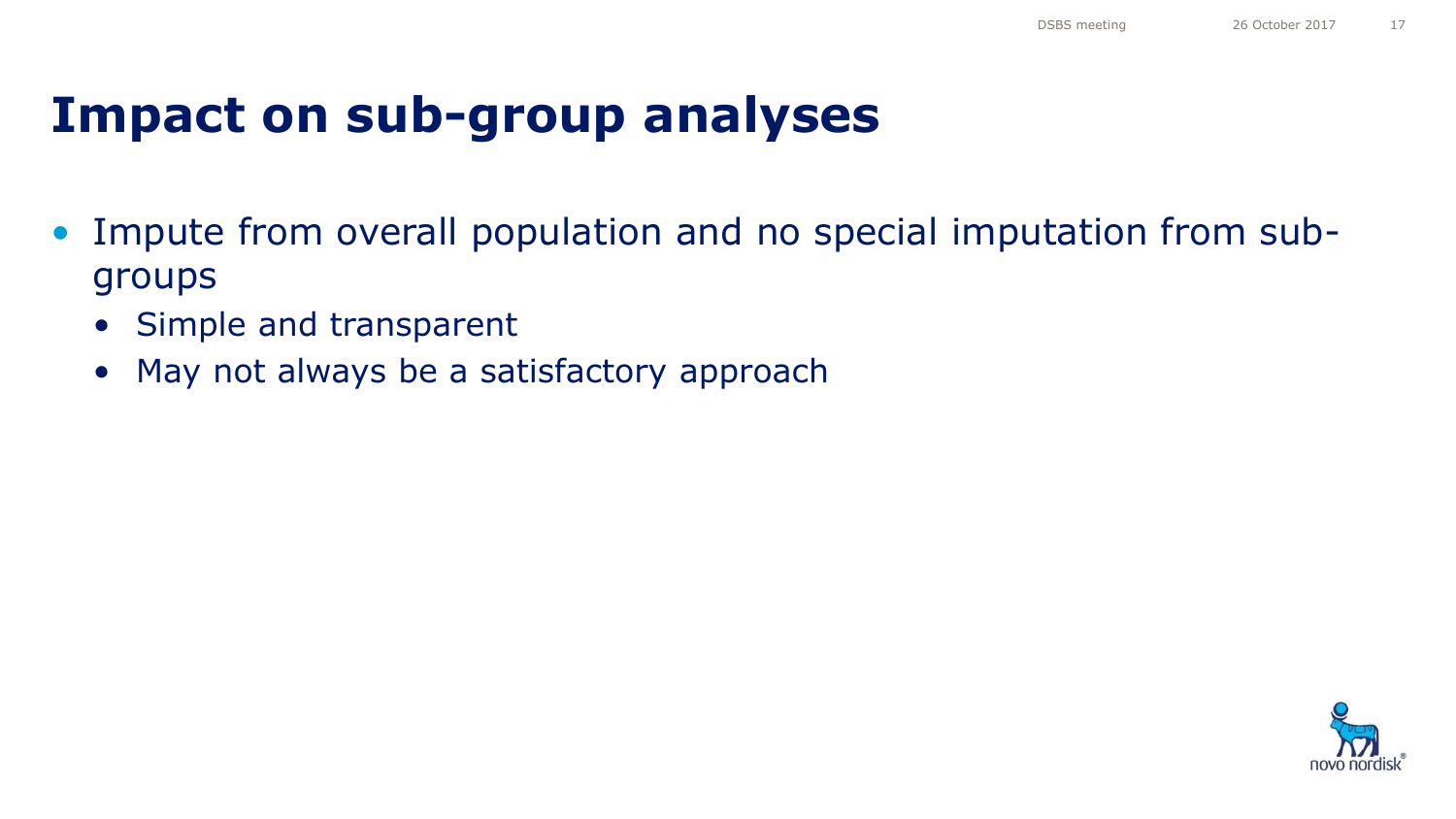### **Impact on sub-group analyses**

- Impute from overall population and no special imputation from subgroups
	- Simple and transparent
	- May not always be a satisfactory approach

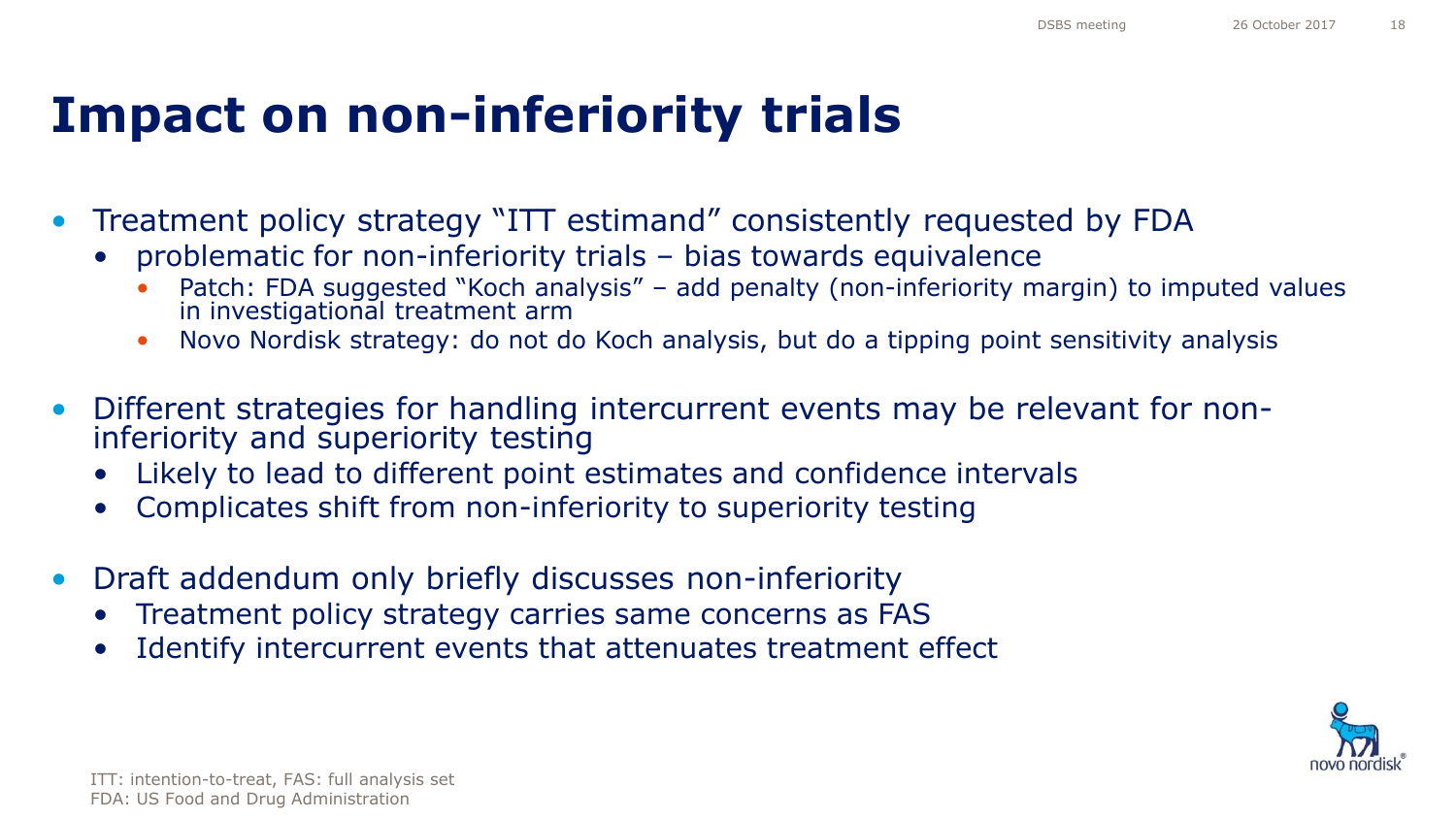### **Impact on non-inferiority trials**

- Treatment policy strategy "ITT estimand" consistently requested by FDA
	- problematic for non-inferiority trials bias towards equivalence
		- Patch: FDA suggested "Koch analysis" add penalty (non-inferiority margin) to imputed values in investigational treatment arm
		- Novo Nordisk strategy: do not do Koch analysis, but do a tipping point sensitivity analysis
- Different strategies for handling intercurrent events may be relevant for noninferiority and superiority testing
	- Likely to lead to different point estimates and confidence intervals
	- Complicates shift from non-inferiority to superiority testing
- Draft addendum only briefly discusses non-inferiority
	- Treatment policy strategy carries same concerns as FAS
	- Identify intercurrent events that attenuates treatment effect

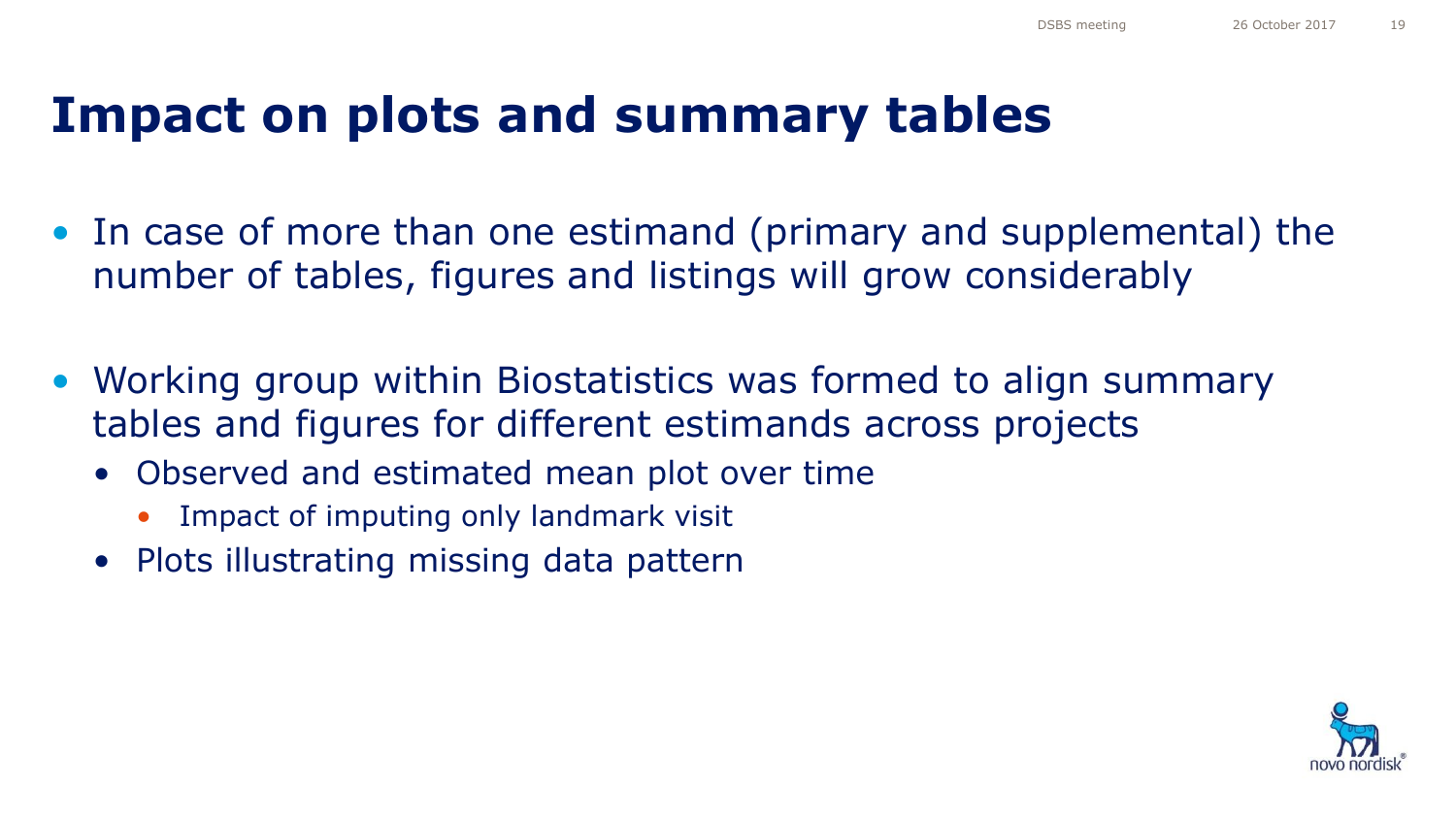### **Impact on plots and summary tables**

- In case of more than one estimand (primary and supplemental) the number of tables, figures and listings will grow considerably
- Working group within Biostatistics was formed to align summary tables and figures for different estimands across projects
	- Observed and estimated mean plot over time
		- Impact of imputing only landmark visit
	- Plots illustrating missing data pattern

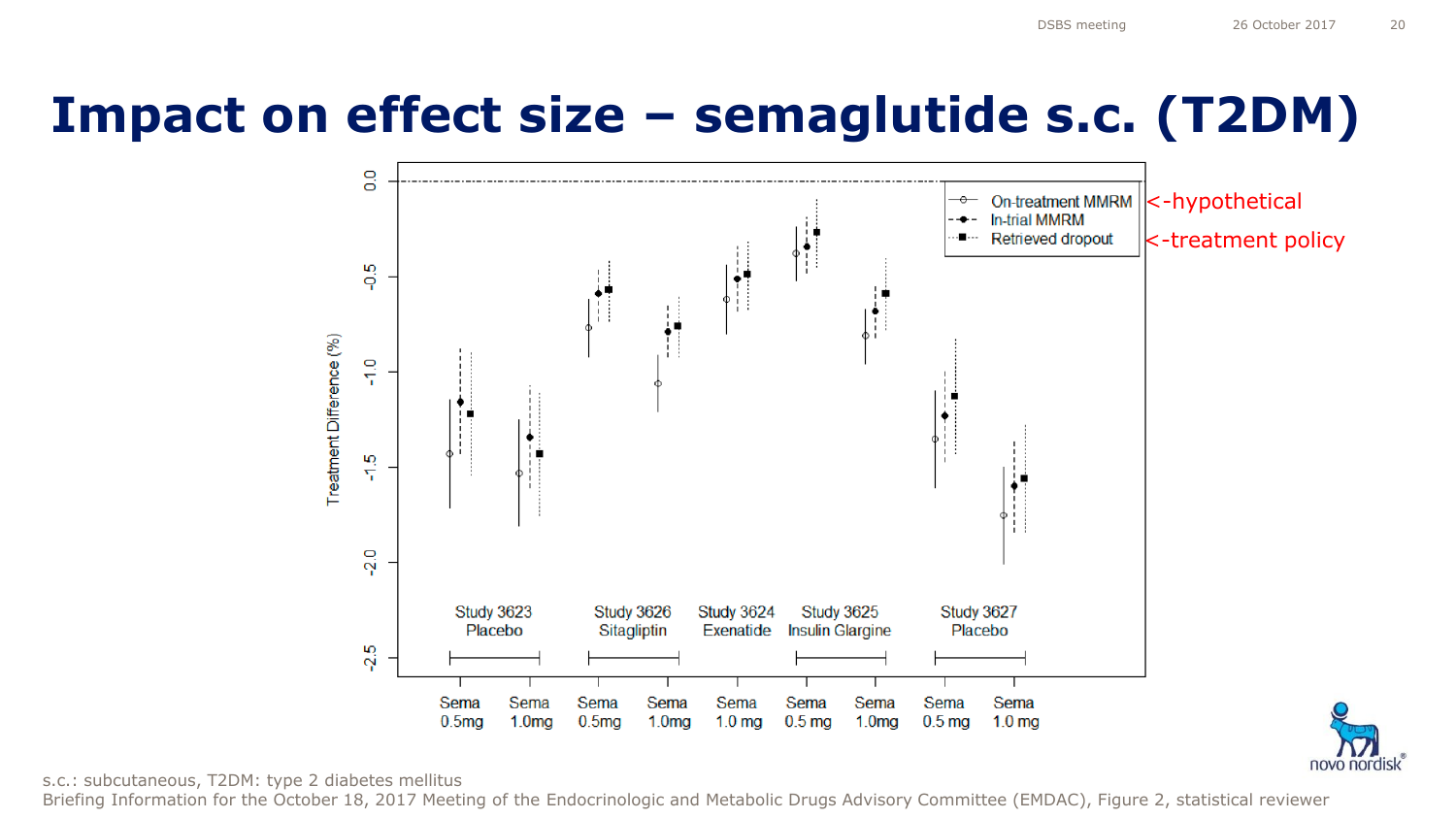novo nordisk

### **Impact on effect size – semaglutide s.c. (T2DM)**





Briefing Information for the October 18, 2017 Meeting of the Endocrinologic and Metabolic Drugs Advisory Committee (EMDAC), Figure 2, statistical reviewer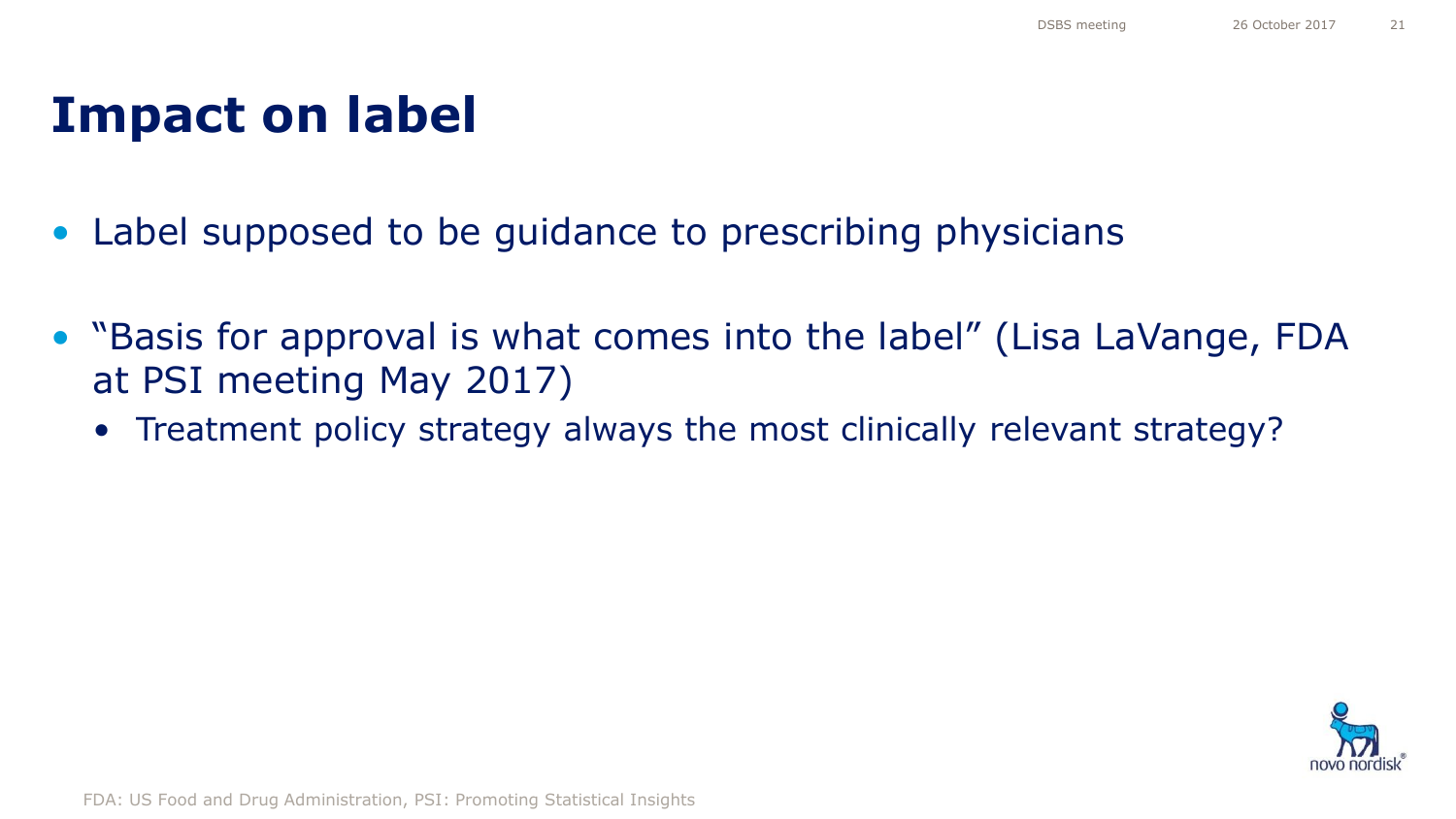### **Impact on label**

- Label supposed to be guidance to prescribing physicians
- "Basis for approval is what comes into the label" (Lisa LaVange, FDA at PSI meeting May 2017)
	- Treatment policy strategy always the most clinically relevant strategy?



FDA: US Food and Drug Administration, PSI: Promoting Statistical Insights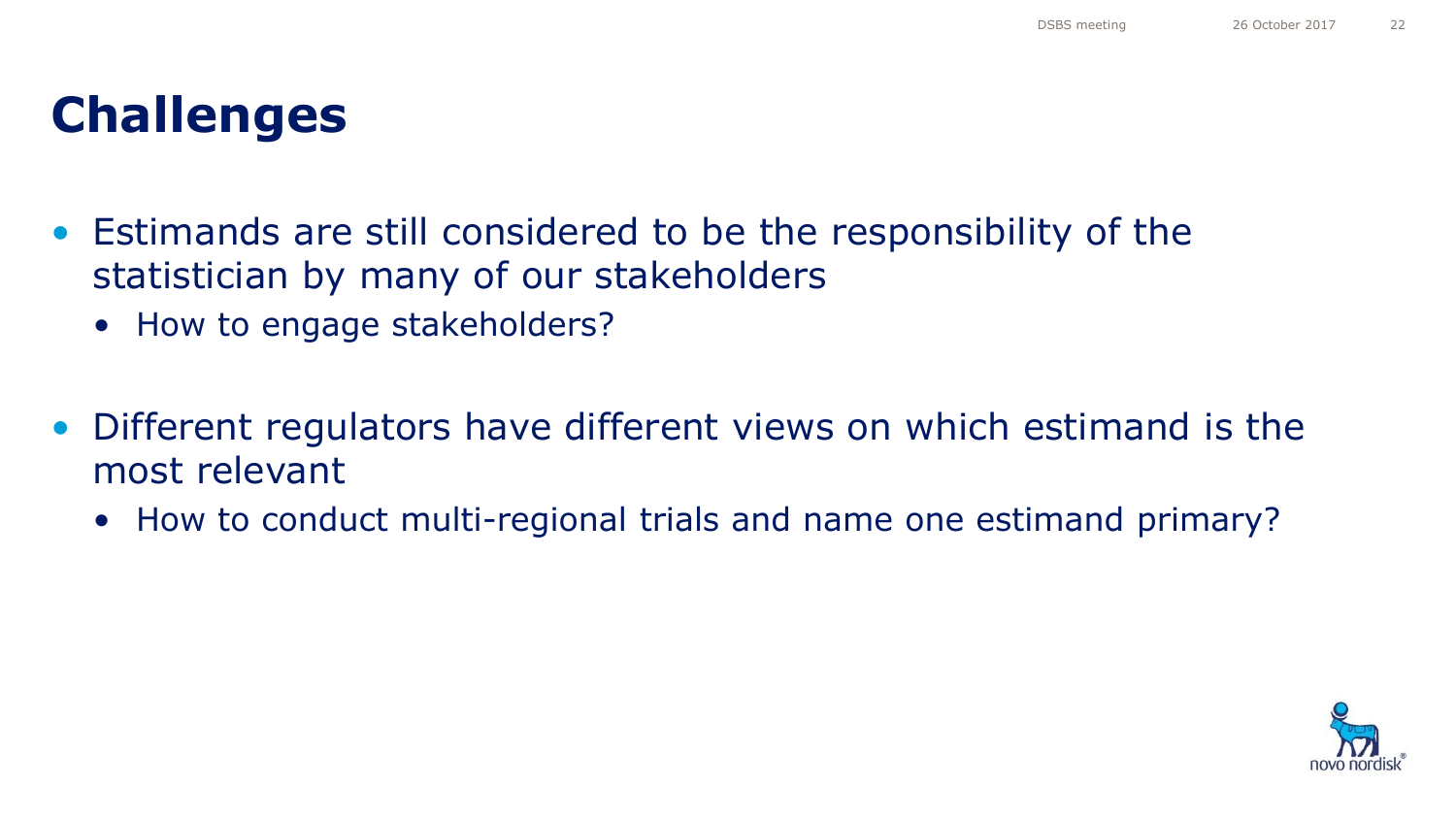### **Challenges**

- Estimands are still considered to be the responsibility of the statistician by many of our stakeholders
	- How to engage stakeholders?
- Different regulators have different views on which estimand is the most relevant
	- How to conduct multi-regional trials and name one estimand primary?

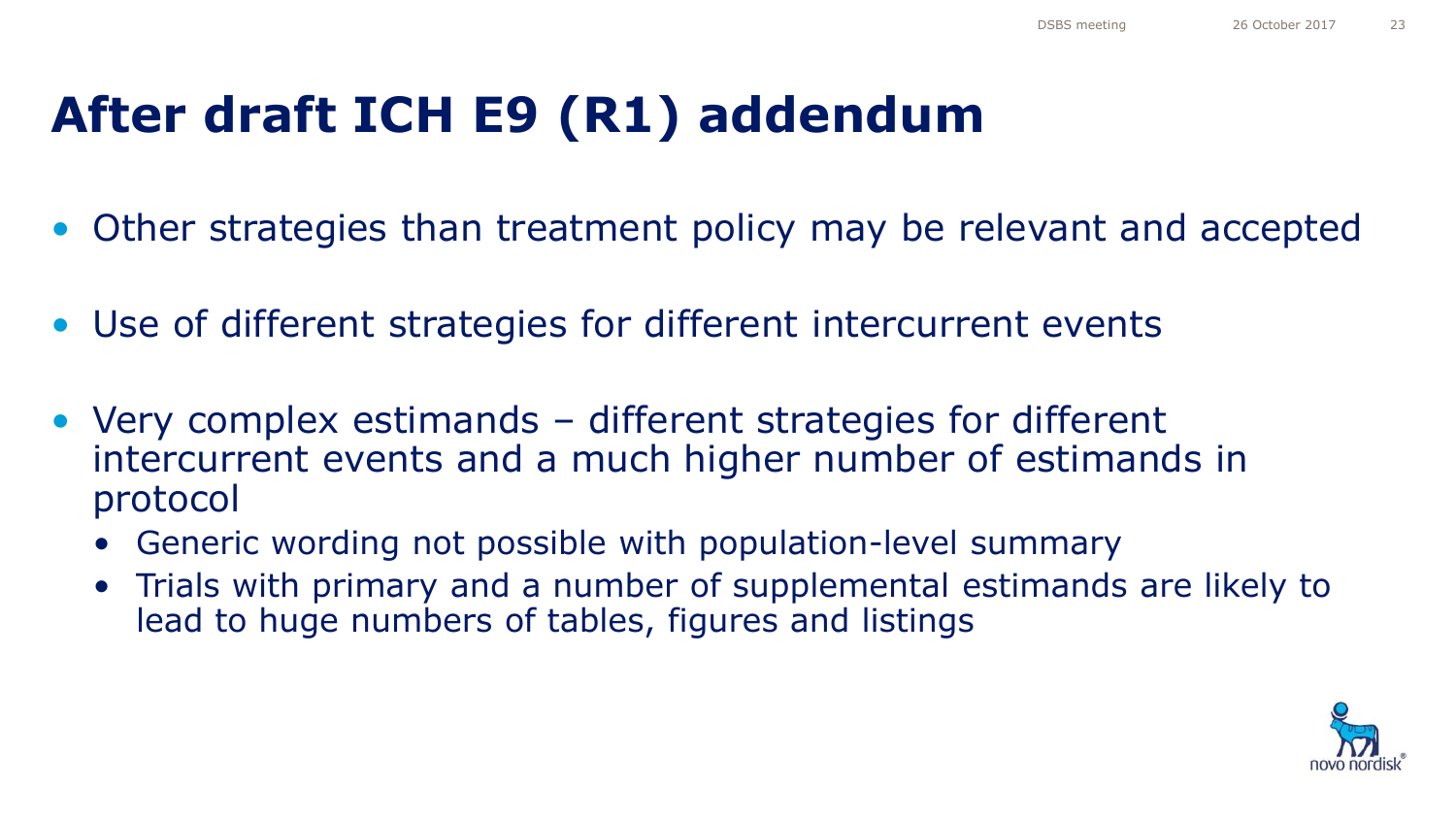## **After draft ICH E9 (R1) addendum**

- Other strategies than treatment policy may be relevant and accepted
- Use of different strategies for different intercurrent events
- Very complex estimands different strategies for different intercurrent events and a much higher number of estimands in protocol
	- Generic wording not possible with population-level summary
	- Trials with primary and a number of supplemental estimands are likely to lead to huge numbers of tables, figures and listings

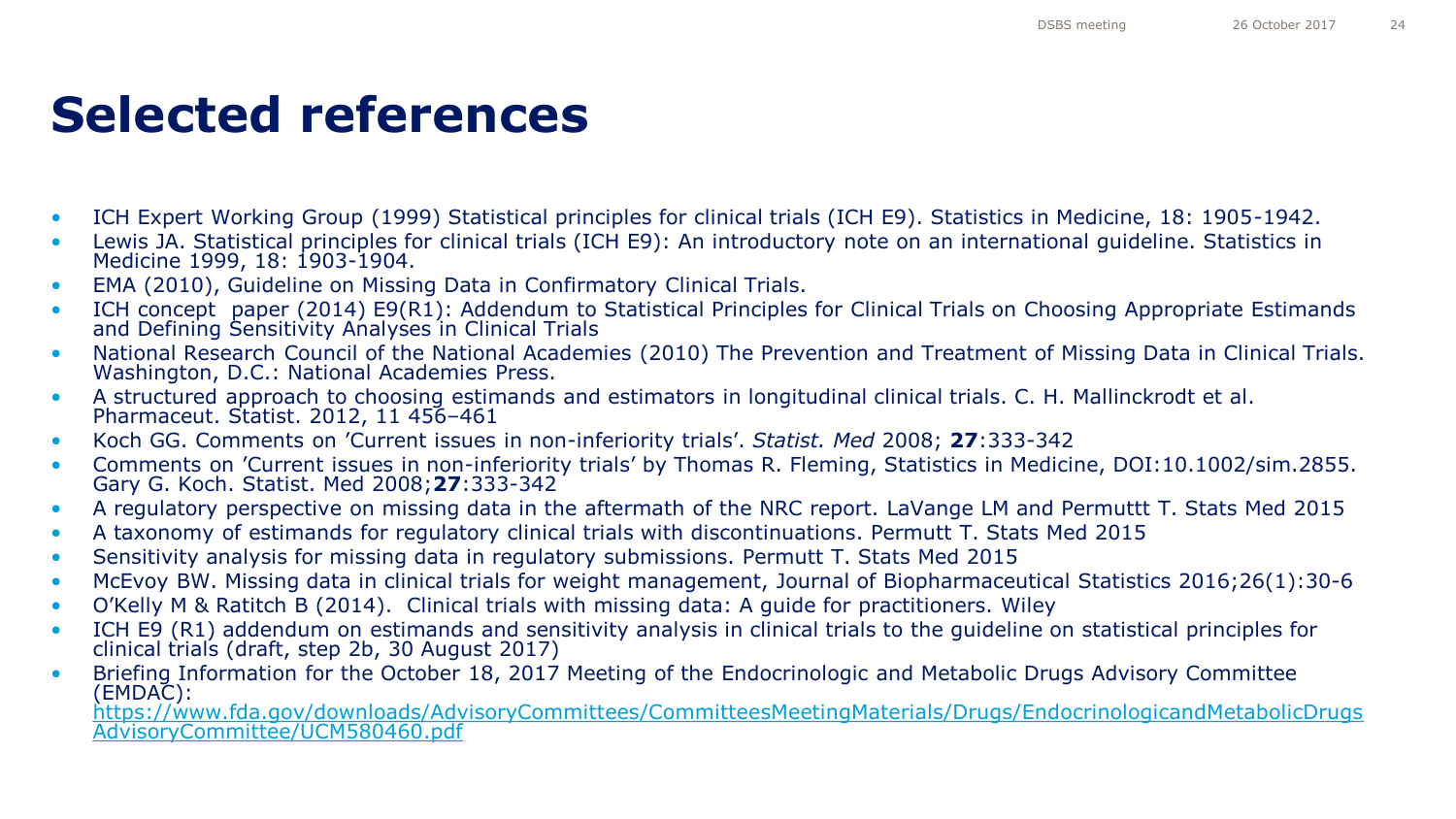### **Selected references**

- ICH Expert Working Group (1999) Statistical principles for clinical trials (ICH E9). Statistics in Medicine, 18: 1905-1942.
- Lewis JA. Statistical principles for clinical trials (ICH E9): An introductory note on an international guideline. Statistics in Medicine 1999, 18: 1903-1904.
- EMA (2010), Guideline on Missing Data in Confirmatory Clinical Trials.
- ICH concept paper (2014) E9(R1): Addendum to Statistical Principles for Clinical Trials on Choosing Appropriate Estimands and Defining Sensitivity Analyses in Clinical Trials
- National Research Council of the National Academies (2010) The Prevention and Treatment of Missing Data in Clinical Trials. Washington, D.C.: National Academies Press.
- A structured approach to choosing estimands and estimators in longitudinal clinical trials. C. H. Mallinckrodt et al. Pharmaceut. Statist. 2012, 11 456–461
- Koch GG. Comments on 'Current issues in non-inferiority trials'. *Statist. Med* 2008; **27**:333-342
- Comments on 'Current issues in non-inferiority trials' by Thomas R. Fleming, Statistics in Medicine, DOI:10.1002/sim.2855. Gary G. Koch. Statist. Med 2008;**27**:333-342
- A regulatory perspective on missing data in the aftermath of the NRC report. LaVange LM and Permuttt T. Stats Med 2015
- A taxonomy of estimands for regulatory clinical trials with discontinuations. Permutt T. Stats Med 2015
- Sensitivity analysis for missing data in regulatory submissions. Permutt T. Stats Med 2015
- McEvoy BW. Missing data in clinical trials for weight management, Journal of Biopharmaceutical Statistics 2016;26(1):30-6
- O'Kelly M & Ratitch B (2014). Clinical trials with missing data: A guide for practitioners. Wiley
- ICH E9 (R1) addendum on estimands and sensitivity analysis in clinical trials to the guideline on statistical principles for clinical trials (draft, step 2b, 30 August 2017)
- Briefing Information for the October 18, 2017 Meeting of the Endocrinologic and Metabolic Drugs Advisory Committee (EMDAC):

[https://www.fda.gov/downloads/AdvisoryCommittees/CommitteesMeetingMaterials/Drugs/EndocrinologicandMetabolicDrugs](https://www.fda.gov/downloads/AdvisoryCommittees/CommitteesMeetingMaterials/Drugs/EndocrinologicandMetabolicDrugsAdvisoryCommittee/UCM580460.pdf) [AdvisoryCommittee/UCM580460.pdf](https://www.fda.gov/downloads/AdvisoryCommittees/CommitteesMeetingMaterials/Drugs/EndocrinologicandMetabolicDrugsAdvisoryCommittee/UCM580460.pdf)